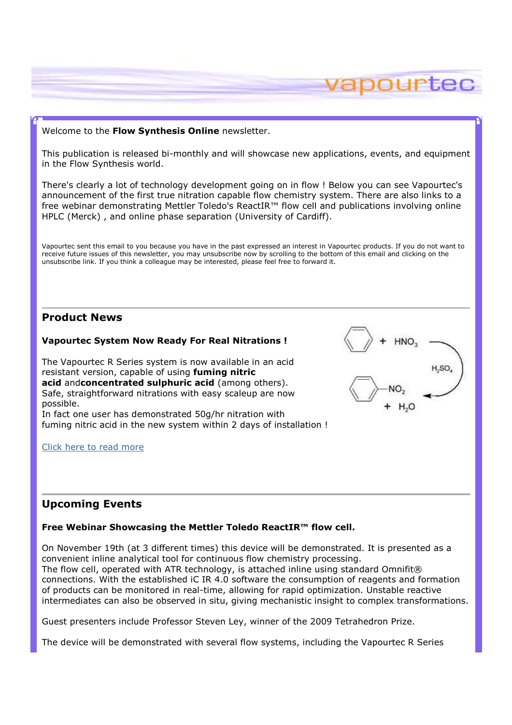### Welcome to the Flow Synthesis Online newsletter.

This publication is released bi-monthly and will showcase new applications, events, and equipment in the Flow Synthesis world.

vapourtec

L<sub>SO</sub>

There's clearly a lot of technology development going on in flow ! Below you can see Vapourtec's announcement of the first true nitration capable flow chemistry system. There are also links to a free webinar demonstrating Mettler Toledo's ReactIR™ flow cell and publications involving online HPLC (Merck) , and online phase separation (University of Cardiff).

Vapourtec sent this email to you because you have in the past expressed an interest in Vapourtec products. If you do not want to receive future issues of this newsletter, you may unsubscribe now by scrolling to the bottom of this email and clicking on the unsubscribe link. If you think a colleague may be interested, please feel free to forward it.

# Product News

### Vapourtec System Now Ready For Real Nitrations !

The Vapourtec R Series system is now available in an acid resistant version, capable of using **fuming nitric** acid andconcentrated sulphuric acid (among others). Safe, straightforward nitrations with easy scaleup are now possible. In fact one user has demonstrated 50g/hr nitration with

fuming nitric acid in the new system within 2 days of installation !

### Click here to read more

# Upcoming Events

# Free Webinar Showcasing the Mettler Toledo ReactIR™ flow cell.

On November 19th (at 3 different times) this device will be demonstrated. It is presented as a convenient inline analytical tool for continuous flow chemistry processing. The flow cell, operated with ATR technology, is attached inline using standard Omnifit® connections. With the established iC IR 4.0 software the consumption of reagents and formation of products can be monitored in real-time, allowing for rapid optimization. Unstable reactive intermediates can also be observed in situ, giving mechanistic insight to complex transformations.

Guest presenters include Professor Steven Ley, winner of the 2009 Tetrahedron Prize.

The device will be demonstrated with several flow systems, including the Vapourtec R Series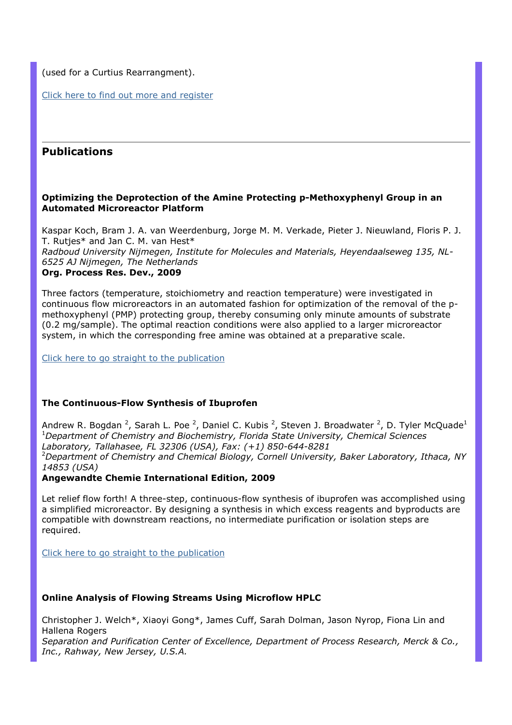(used for a Curtius Rearrangment).

Click here to find out more and register

# Publications

## Optimizing the Deprotection of the Amine Protecting p-Methoxyphenyl Group in an Automated Microreactor Platform

Kaspar Koch, Bram J. A. van Weerdenburg, Jorge M. M. Verkade, Pieter J. Nieuwland, Floris P. J. T. Rutjes\* and Jan C. M. van Hest\* Radboud University Nijmegen, Institute for Molecules and Materials, Heyendaalseweg 135, NL-6525 AJ Nijmegen, The Netherlands Org. Process Res. Dev., 2009

Three factors (temperature, stoichiometry and reaction temperature) were investigated in continuous flow microreactors in an automated fashion for optimization of the removal of the pmethoxyphenyl (PMP) protecting group, thereby consuming only minute amounts of substrate (0.2 mg/sample). The optimal reaction conditions were also applied to a larger microreactor system, in which the corresponding free amine was obtained at a preparative scale.

Click here to go straight to the publication

# The Continuous-Flow Synthesis of Ibuprofen

Andrew R. Bogdan <sup>2</sup>, Sarah L. Poe <sup>2</sup>, Daniel C. Kubis <sup>2</sup>, Steven J. Broadwater <sup>2</sup>, D. Tyler McQuade<sup>1</sup> <sup>1</sup>Department of Chemistry and Biochemistry, Florida State University, Chemical Sciences Laboratory, Tallahasee, FL 32306 (USA), Fax: (+1) 850-644-8281  $2$ Department of Chemistry and Chemical Biology, Cornell University, Baker Laboratory, Ithaca, NY 14853 (USA)

Angewandte Chemie International Edition, 2009

Let relief flow forth! A three-step, continuous-flow synthesis of ibuprofen was accomplished using a simplified microreactor. By designing a synthesis in which excess reagents and byproducts are compatible with downstream reactions, no intermediate purification or isolation steps are required.

Click here to go straight to the publication

# Online Analysis of Flowing Streams Using Microflow HPLC

Christopher J. Welch\*, Xiaoyi Gong\*, James Cuff, Sarah Dolman, Jason Nyrop, Fiona Lin and Hallena Rogers

Separation and Purification Center of Excellence, Department of Process Research, Merck & Co., Inc., Rahway, New Jersey, U.S.A.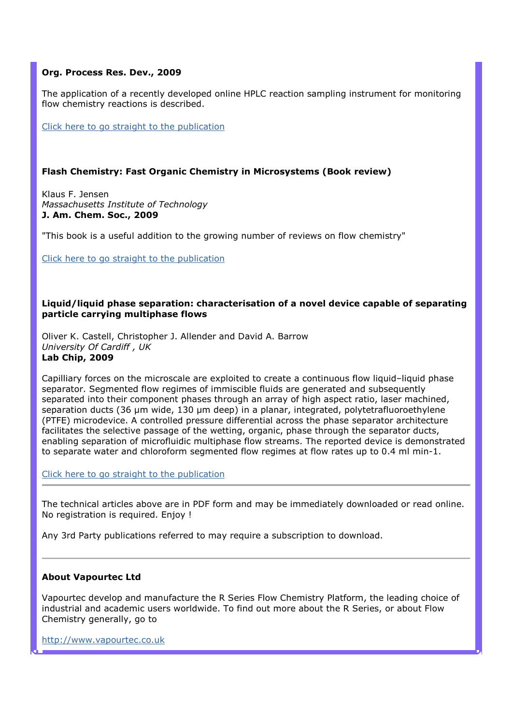# Org. Process Res. Dev., 2009

The application of a recently developed online HPLC reaction sampling instrument for monitoring flow chemistry reactions is described.

Click here to go straight to the publication

## Flash Chemistry: Fast Organic Chemistry in Microsystems (Book review)

Klaus F. Jensen Massachusetts Institute of Technology J. Am. Chem. Soc., 2009

"This book is a useful addition to the growing number of reviews on flow chemistry"

Click here to go straight to the publication

#### Liquid/liquid phase separation: characterisation of a novel device capable of separating particle carrying multiphase flows

Oliver K. Castell, Christopher J. Allender and David A. Barrow University Of Cardiff , UK Lab Chip, 2009

Capilliary forces on the microscale are exploited to create a continuous flow liquid–liquid phase separator. Segmented flow regimes of immiscible fluids are generated and subsequently separated into their component phases through an array of high aspect ratio, laser machined, separation ducts (36 µm wide, 130 µm deep) in a planar, integrated, polytetrafluoroethylene (PTFE) microdevice. A controlled pressure differential across the phase separator architecture facilitates the selective passage of the wetting, organic, phase through the separator ducts, enabling separation of microfluidic multiphase flow streams. The reported device is demonstrated to separate water and chloroform segmented flow regimes at flow rates up to 0.4 ml min-1.

Click here to go straight to the publication

The technical articles above are in PDF form and may be immediately downloaded or read online. No registration is required. Enjoy !

Any 3rd Party publications referred to may require a subscription to download.

### About Vapourtec Ltd

Vapourtec develop and manufacture the R Series Flow Chemistry Platform, the leading choice of industrial and academic users worldwide. To find out more about the R Series, or about Flow Chemistry generally, go to

http://www.vapourtec.co.uk